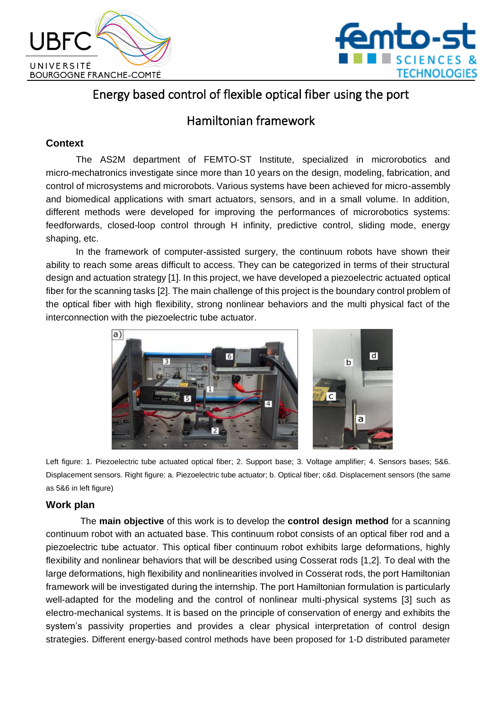



# Energy based control of flexible optical fiber using the port

## Hamiltonian framework

## **Context**

The AS2M department of FEMTO-ST Institute, specialized in microrobotics and micro-mechatronics investigate since more than 10 years on the design, modeling, fabrication, and control of microsystems and microrobots. Various systems have been achieved for micro-assembly and biomedical applications with smart actuators, sensors, and in a small volume. In addition, different methods were developed for improving the performances of microrobotics systems: feedforwards, closed-loop control through H infinity, predictive control, sliding mode, energy shaping, etc.

In the framework of computer-assisted surgery, the continuum robots have shown their ability to reach some areas difficult to access. They can be categorized in terms of their structural design and actuation strategy [1]. In this project, we have developed a piezoelectric actuated optical fiber for the scanning tasks [2]. The main challenge of this project is the boundary control problem of the optical fiber with high flexibility, strong nonlinear behaviors and the multi physical fact of the interconnection with the piezoelectric tube actuator.



Left figure: 1. Piezoelectric tube actuated optical fiber; 2. Support base; 3. Voltage amplifier; 4. Sensors bases; 5&6. Displacement sensors. Right figure: a. Piezoelectric tube actuator; b. Optical fiber; c&d. Displacement sensors (the same as 5&6 in left figure)

## **Work plan**

The **main objective** of this work is to develop the **control design method** for a scanning continuum robot with an actuated base. This continuum robot consists of an optical fiber rod and a piezoelectric tube actuator. This optical fiber continuum robot exhibits large deformations, highly flexibility and nonlinear behaviors that will be described using Cosserat rods [1,2]. To deal with the large deformations, high flexibility and nonlinearities involved in Cosserat rods, the port Hamiltonian framework will be investigated during the internship. The port Hamiltonian formulation is particularly well-adapted for the modeling and the control of nonlinear multi-physical systems [3] such as electro-mechanical systems. It is based on the principle of conservation of energy and exhibits the system's passivity properties and provides a clear physical interpretation of control design strategies. Different energy-based control methods have been proposed for 1-D distributed parameter